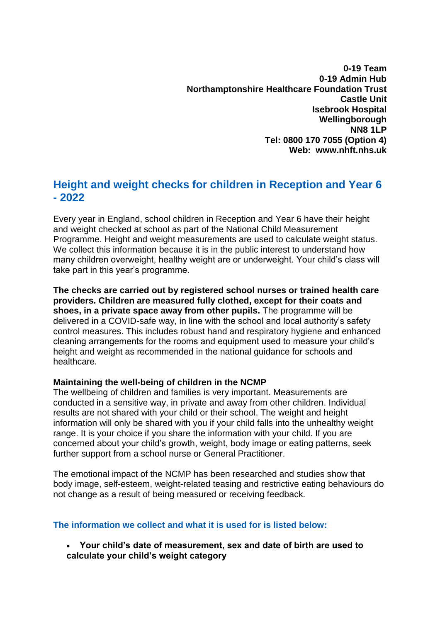**0-19 Team 0-19 Admin Hub Northamptonshire Healthcare Foundation Trust Castle Unit Isebrook Hospital Wellingborough NN8 1LP Tel: 0800 170 7055 (Option 4) Web: www.nhft.nhs.uk**

# **Height and weight checks for children in Reception and Year 6 - 2022**

Every year in England, school children in Reception and Year 6 have their height and weight checked at school as part of the National Child Measurement Programme. Height and weight measurements are used to calculate weight status. We collect this information because it is in the public interest to understand how many children overweight, healthy weight are or underweight. Your child's class will take part in this year's programme.

**The checks are carried out by registered school nurses or trained health care providers. Children are measured fully clothed, except for their coats and shoes, in a private space away from other pupils.** The programme will be delivered in a COVID-safe way, in line with the school and local authority's safety control measures. This includes robust hand and respiratory hygiene and enhanced cleaning arrangements for the rooms and equipment used to measure your child's height and weight as recommended in the national guidance for schools and healthcare.

### **Maintaining the well-being of children in the NCMP**

The wellbeing of children and families is very important. Measurements are conducted in a sensitive way, in private and away from other children. Individual results are not shared with your child or their school. The weight and height information will only be shared with you if your child falls into the unhealthy weight range. It is your choice if you share the information with your child. If you are concerned about your child's growth, weight, body image or eating patterns, seek further support from a school nurse or General Practitioner.

The emotional impact of the NCMP has been researched and studies show that body image, self-esteem, weight-related teasing and restrictive eating behaviours do not change as a result of being measured or receiving feedback.

### **The information we collect and what it is used for is listed below:**

• **Your child's date of measurement, sex and date of birth are used to calculate your child's weight category**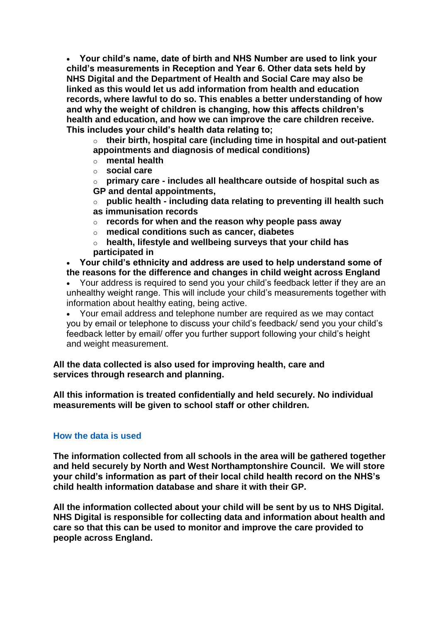• **Your child's name, date of birth and NHS Number are used to link your child's measurements in Reception and Year 6. Other data sets held by NHS Digital and the Department of Health and Social Care may also be linked as this would let us add information from health and education records, where lawful to do so. This enables a better understanding of how and why the weight of children is changing, how this affects children's health and education, and how we can improve the care children receive. This includes your child's health data relating to;**

o **their birth, hospital care (including time in hospital and out-patient appointments and diagnosis of medical conditions)**

- o **mental health**
- o **social care**

o **primary care - includes all healthcare outside of hospital such as GP and dental appointments,**

o **public health - including data relating to preventing ill health such as immunisation records**

- o **records for when and the reason why people pass away**
- o **medical conditions such as cancer, diabetes**
- o **health, lifestyle and wellbeing surveys that your child has participated in**

• **Your child's ethnicity and address are used to help understand some of the reasons for the difference and changes in child weight across England**

• Your address is required to send you your child's feedback letter if they are an unhealthy weight range. This will include your child's measurements together with information about healthy eating, being active.

• Your email address and telephone number are required as we may contact you by email or telephone to discuss your child's feedback/ send you your child's feedback letter by email/ offer you further support following your child's height and weight measurement.

**All the data collected is also used for improving health, care and services through research and planning.**

**All this information is treated confidentially and held securely. No individual measurements will be given to school staff or other children.**

### **How the data is used**

**The information collected from all schools in the area will be gathered together and held securely by North and West Northamptonshire Council. We will store your child's information as part of their local child health record on the NHS's child health information database and share it with their GP.** 

**All the information collected about your child will be sent by us to NHS Digital. NHS Digital is responsible for collecting data and information about health and care so that this can be used to monitor and improve the care provided to people across England.**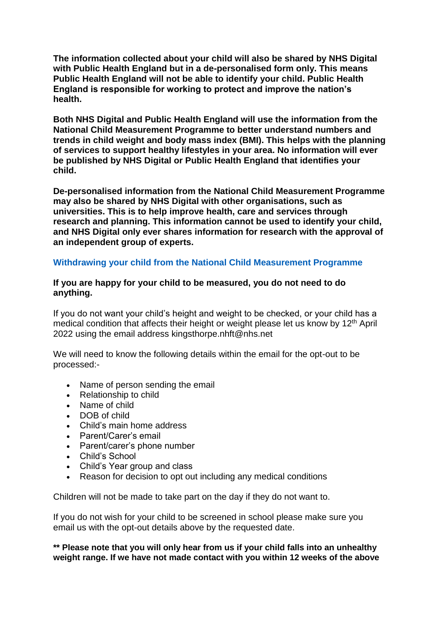**The information collected about your child will also be shared by NHS Digital with Public Health England but in a de-personalised form only. This means Public Health England will not be able to identify your child. Public Health England is responsible for working to protect and improve the nation's health.**

**Both NHS Digital and Public Health England will use the information from the National Child Measurement Programme to better understand numbers and trends in child weight and body mass index (BMI). This helps with the planning of services to support healthy lifestyles in your area. No information will ever be published by NHS Digital or Public Health England that identifies your child.**

**De-personalised information from the National Child Measurement Programme may also be shared by NHS Digital with other organisations, such as universities. This is to help improve health, care and services through research and planning. This information cannot be used to identify your child, and NHS Digital only ever shares information for research with the approval of an independent group of experts.**

## **Withdrawing your child from the National Child Measurement Programme**

#### **If you are happy for your child to be measured, you do not need to do anything.**

If you do not want your child's height and weight to be checked, or your child has a medical condition that affects their height or weight please let us know by 12<sup>th</sup> April 2022 using the email address kingsthorpe.nhft@nhs.net

We will need to know the following details within the email for the opt-out to be processed:-

- Name of person sending the email
- Relationship to child
- Name of child
- DOB of child
- Child's main home address
- Parent/Carer's email
- Parent/carer's phone number
- Child's School
- Child's Year group and class
- Reason for decision to opt out including any medical conditions

Children will not be made to take part on the day if they do not want to.

If you do not wish for your child to be screened in school please make sure you email us with the opt-out details above by the requested date.

**\*\* Please note that you will only hear from us if your child falls into an unhealthy weight range. If we have not made contact with you within 12 weeks of the above**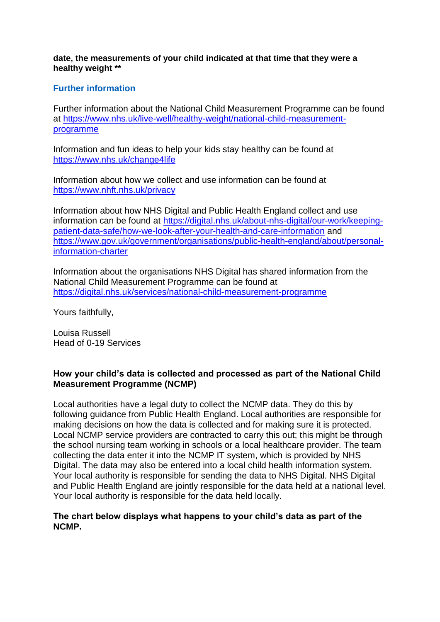**date, the measurements of your child indicated at that time that they were a healthy weight \*\***

### **Further information**

Further information about the National Child Measurement Programme can be found at [https://www.nhs.uk/live-well/healthy-weight/national-child-measurement](https://www.nhs.uk/live-well/healthy-weight/national-child-measurement-programme/)[programme](https://www.nhs.uk/live-well/healthy-weight/national-child-measurement-programme/)

Information and fun ideas to help your kids stay healthy can be found at <https://www.nhs.uk/change4life>

Information about how we collect and use information can be found at <https://www.nhft.nhs.uk/privacy>

Information about how NHS Digital and Public Health England collect and use information can be found at [https://digital.nhs.uk/about-nhs-digital/our-work/keeping](https://digital.nhs.uk/about-nhs-digital/our-work/keeping-patient-data-safe/how-we-look-after-your-health-and-care-information)[patient-data-safe/how-we-look-after-your-health-and-care-information](https://digital.nhs.uk/about-nhs-digital/our-work/keeping-patient-data-safe/how-we-look-after-your-health-and-care-information) and [https://www.gov.uk/government/organisations/public-health-england/about/personal](https://www.gov.uk/government/organisations/public-health-england/about/personal-information-charter)[information-charter](https://www.gov.uk/government/organisations/public-health-england/about/personal-information-charter)

Information about the organisations NHS Digital has shared information from the National Child Measurement Programme can be found at [https://digital.nhs.uk/services/national-child-measurement-programme](https://digital.nhs.uk/services/national-child-measurement-programme/)

Yours faithfully,

Louisa Russell Head of 0-19 Services

### **How your child's data is collected and processed as part of the National Child Measurement Programme (NCMP)**

Local authorities have a legal duty to collect the NCMP data. They do this by following guidance from Public Health England. Local authorities are responsible for making decisions on how the data is collected and for making sure it is protected. Local NCMP service providers are contracted to carry this out; this might be through the school nursing team working in schools or a local healthcare provider. The team collecting the data enter it into the NCMP IT system, which is provided by NHS Digital. The data may also be entered into a local child health information system. Your local authority is responsible for sending the data to NHS Digital. NHS Digital and Public Health England are jointly responsible for the data held at a national level. Your local authority is responsible for the data held locally.

#### **The chart below displays what happens to your child's data as part of the NCMP.**